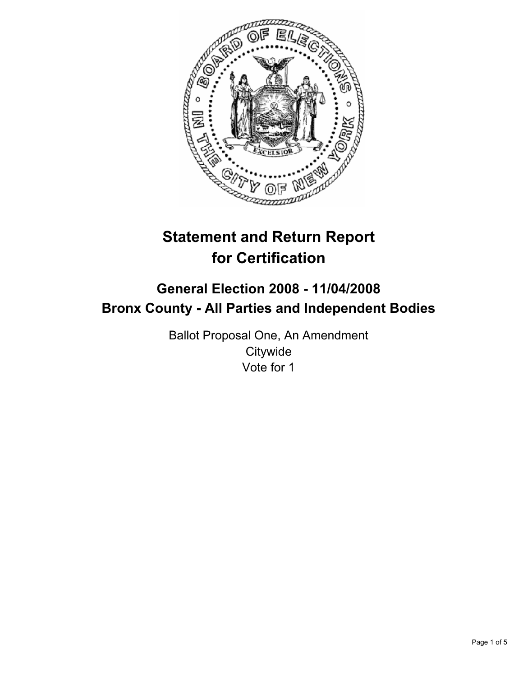

# **Statement and Return Report for Certification**

# **General Election 2008 - 11/04/2008 Bronx County - All Parties and Independent Bodies**

Ballot Proposal One, An Amendment **Citywide** Vote for 1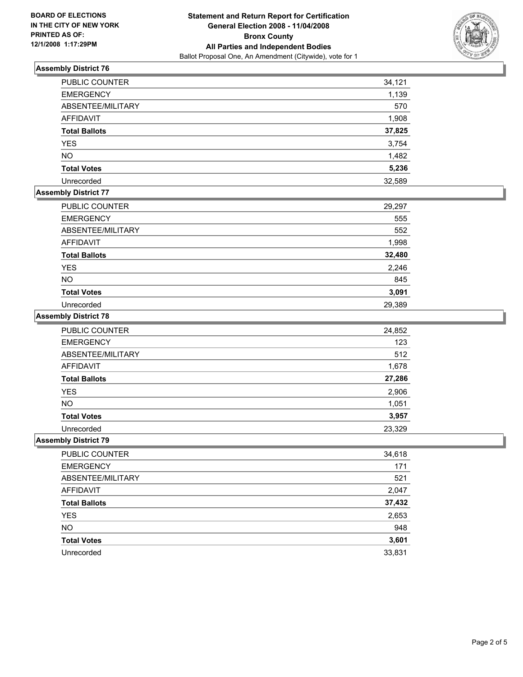

### **Assembly District 76**

| <b>PUBLIC COUNTER</b> | 34,121 |
|-----------------------|--------|
| <b>EMERGENCY</b>      | 1,139  |
| ABSENTEE/MILITARY     | 570    |
| <b>AFFIDAVIT</b>      | 1,908  |
| <b>Total Ballots</b>  | 37,825 |
| <b>YES</b>            | 3,754  |
| <b>NO</b>             | 1,482  |
| <b>Total Votes</b>    | 5,236  |
| Unrecorded            | 32,589 |

# **Assembly District 77**

| <b>PUBLIC COUNTER</b> | 29,297 |
|-----------------------|--------|
| <b>EMERGENCY</b>      | 555    |
| ABSENTEE/MILITARY     | 552    |
| AFFIDAVIT             | 1,998  |
| <b>Total Ballots</b>  | 32,480 |
| <b>YES</b>            | 2,246  |
| <b>NO</b>             | 845    |
| <b>Total Votes</b>    | 3,091  |
| Unrecorded            | 29,389 |

#### **Assembly District 78**

| <b>PUBLIC COUNTER</b> | 24,852 |
|-----------------------|--------|
| <b>EMERGENCY</b>      | 123    |
| ABSENTEE/MILITARY     | 512    |
| AFFIDAVIT             | 1,678  |
| <b>Total Ballots</b>  | 27,286 |
| <b>YES</b>            | 2,906  |
| <b>NO</b>             | 1,051  |
| <b>Total Votes</b>    | 3,957  |
| Unrecorded            | 23,329 |

### **Assembly District 79**

| PUBLIC COUNTER       | 34,618 |
|----------------------|--------|
| <b>EMERGENCY</b>     | 171    |
| ABSENTEE/MILITARY    | 521    |
| AFFIDAVIT            | 2,047  |
| <b>Total Ballots</b> | 37,432 |
| <b>YES</b>           | 2,653  |
| <b>NO</b>            | 948    |
| <b>Total Votes</b>   | 3,601  |
| Unrecorded           | 33,831 |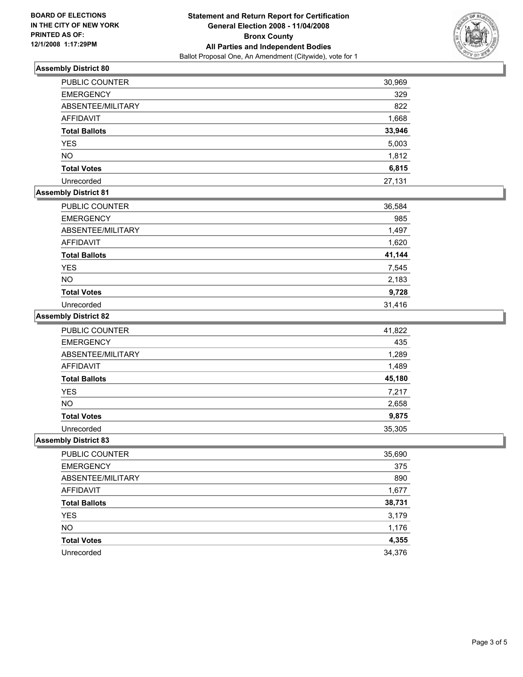

### **Assembly District 80**

| <b>PUBLIC COUNTER</b> | 30,969 |
|-----------------------|--------|
| <b>EMERGENCY</b>      | 329    |
| ABSENTEE/MILITARY     | 822    |
| <b>AFFIDAVIT</b>      | 1,668  |
| <b>Total Ballots</b>  | 33,946 |
| <b>YES</b>            | 5,003  |
| <b>NO</b>             | 1,812  |
| <b>Total Votes</b>    | 6,815  |
| Unrecorded            | 27,131 |

### **Assembly District 81**

| <b>PUBLIC COUNTER</b> | 36,584 |
|-----------------------|--------|
| <b>EMERGENCY</b>      | 985    |
| ABSENTEE/MILITARY     | 1,497  |
| AFFIDAVIT             | 1,620  |
| <b>Total Ballots</b>  | 41,144 |
| <b>YES</b>            | 7,545  |
| <b>NO</b>             | 2,183  |
| <b>Total Votes</b>    | 9,728  |
| Unrecorded            | 31.416 |

#### **Assembly District 82**

| PUBLIC COUNTER       | 41,822 |
|----------------------|--------|
| <b>EMERGENCY</b>     | 435    |
| ABSENTEE/MILITARY    | 1,289  |
| <b>AFFIDAVIT</b>     | 1,489  |
| <b>Total Ballots</b> | 45,180 |
| <b>YES</b>           | 7,217  |
| <b>NO</b>            | 2,658  |
| <b>Total Votes</b>   | 9,875  |
| Unrecorded           | 35,305 |

### **Assembly District 83**

| <b>PUBLIC COUNTER</b> | 35,690 |
|-----------------------|--------|
| <b>EMERGENCY</b>      | 375    |
| ABSENTEE/MILITARY     | 890    |
| AFFIDAVIT             | 1,677  |
| <b>Total Ballots</b>  | 38,731 |
| <b>YES</b>            | 3,179  |
| <b>NO</b>             | 1,176  |
| <b>Total Votes</b>    | 4,355  |
| Unrecorded            | 34,376 |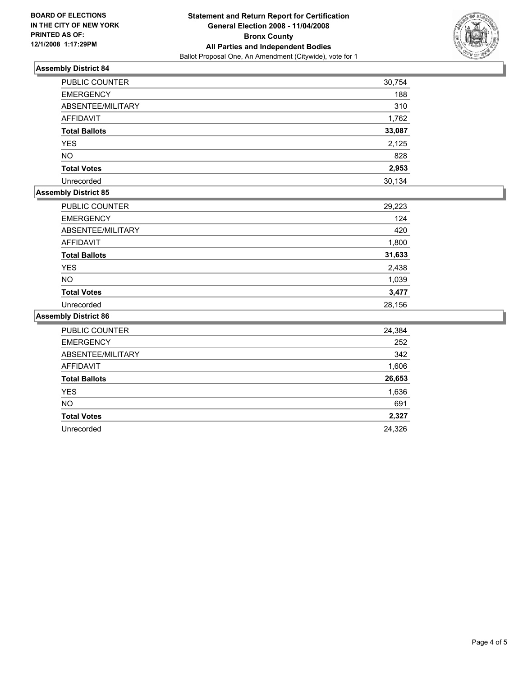

### **Assembly District 84**

| <b>PUBLIC COUNTER</b> | 30,754 |
|-----------------------|--------|
| <b>EMERGENCY</b>      | 188    |
| ABSENTEE/MILITARY     | 310    |
| AFFIDAVIT             | 1,762  |
| <b>Total Ballots</b>  | 33,087 |
| <b>YES</b>            | 2,125  |
| <b>NO</b>             | 828    |
| <b>Total Votes</b>    | 2,953  |
| Unrecorded            | 30,134 |

### **Assembly District 85**

| PUBLIC COUNTER       | 29,223 |
|----------------------|--------|
| <b>EMERGENCY</b>     | 124    |
| ABSENTEE/MILITARY    | 420    |
| <b>AFFIDAVIT</b>     | 1,800  |
| <b>Total Ballots</b> | 31,633 |
| <b>YES</b>           | 2,438  |
| <b>NO</b>            | 1,039  |
| <b>Total Votes</b>   | 3,477  |
| Unrecorded           | 28,156 |

#### **Assembly District 86**

| PUBLIC COUNTER       | 24,384 |
|----------------------|--------|
| <b>EMERGENCY</b>     | 252    |
| ABSENTEE/MILITARY    | 342    |
| <b>AFFIDAVIT</b>     | 1,606  |
| <b>Total Ballots</b> | 26,653 |
| <b>YES</b>           | 1,636  |
| <b>NO</b>            | 691    |
| <b>Total Votes</b>   | 2,327  |
| Unrecorded           | 24,326 |